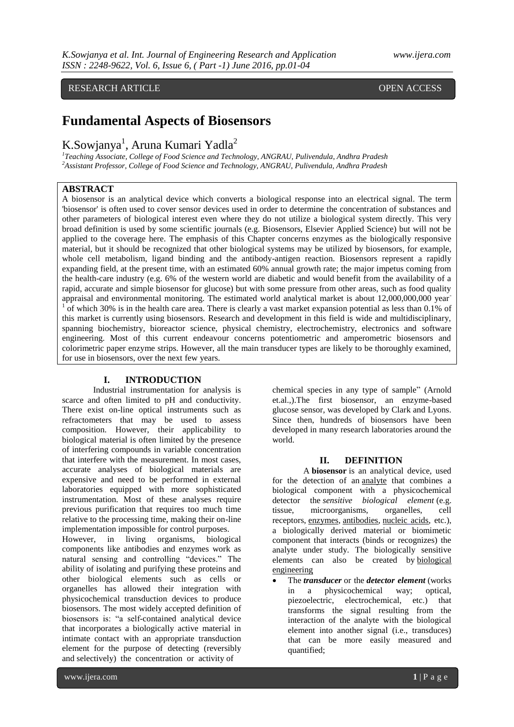# RESEARCH ARTICLE **CONSERVERS** OPEN ACCESS

# **Fundamental Aspects of Biosensors**

# K.Sowjanya<sup>1</sup>, Aruna Kumari Yadla<sup>2</sup>

*1 Teaching Associate, College of Food Science and Technology, ANGRAU, Pulivendula, Andhra Pradesh <sup>2</sup>Assistant Professor, College of Food Science and Technology, ANGRAU, Pulivendula, Andhra Pradesh*

# **ABSTRACT**

A biosensor is an analytical device which converts a biological response into an electrical signal. The term 'biosensor' is often used to cover sensor devices used in order to determine the concentration of substances and other parameters of biological interest even where they do not utilize a biological system directly. This very broad definition is used by some scientific journals (e.g. Biosensors, Elsevier Applied Science) but will not be applied to the coverage here. The emphasis of this Chapter concerns enzymes as the biologically responsive material, but it should be recognized that other biological systems may be utilized by biosensors, for example, whole cell metabolism, ligand binding and the antibody-antigen reaction. Biosensors represent a rapidly expanding field, at the present time, with an estimated 60% annual growth rate; the major impetus coming from the health-care industry (e.g. 6% of the western world are diabetic and would benefit from the availability of a rapid, accurate and simple biosensor for glucose) but with some pressure from other areas, such as food quality appraisal and environmental monitoring. The estimated world analytical market is about 12,000,000,000 year-<sup>1</sup> of which 30% is in the health care area. There is clearly a vast market expansion potential as less than 0.1% of this market is currently using biosensors. Research and development in this field is wide and multidisciplinary, spanning biochemistry, bioreactor science, physical chemistry, electrochemistry, electronics and software engineering. Most of this current endeavour concerns potentiometric and amperometric biosensors and colorimetric paper enzyme strips. However, all the main transducer types are likely to be thoroughly examined, for use in biosensors, over the next few years.

# **I. INTRODUCTION**

Industrial instrumentation for analysis is scarce and often limited to pH and conductivity. There exist on-line optical instruments such as refractometers that may be used to assess composition. However, their applicability to biological material is often limited by the presence of interfering compounds in variable concentration that interfere with the measurement. In most cases, accurate analyses of biological materials are expensive and need to be performed in external laboratories equipped with more sophisticated instrumentation. Most of these analyses require previous purification that requires too much time relative to the processing time, making their on-line implementation impossible for control purposes.<br>However, in living organisms, biologi However, in living organisms, biological components like antibodies and enzymes work as natural sensing and controlling "devices." The ability of isolating and purifying these proteins and other biological elements such as cells or organelles has allowed their integration with physicochemical transduction devices to produce biosensors. The most widely accepted definition of biosensors is: "a self-contained analytical device that incorporates a biologically active material in intimate contact with an appropriate transduction element for the purpose of detecting (reversibly

and selectively) the concentration or activity of

chemical species in any type of sample" (Arnold et.al.,).The first biosensor, an enzyme-based glucose sensor, was developed by Clark and Lyons. Since then, hundreds of biosensors have been developed in many research laboratories around the world.

# **II. DEFINITION**

A **biosensor** is an analytical device, used for the detection of an [analyte](http://en.wikipedia.org/wiki/Analyte) that combines a biological component with a physicochemical detector the *sensitive biological element* (e.g. tissue, microorganisms, organelles, cell receptors, [enzymes,](http://en.wikipedia.org/wiki/Enzyme) [antibodies,](http://en.wikipedia.org/wiki/Antibody) [nucleic](http://en.wikipedia.org/wiki/Nucleic_acid) acids, etc.), a biologically derived material or biomimetic component that interacts (binds or recognizes) the analyte under study. The biologically sensitive elements can also be created by [biological](http://en.wikipedia.org/wiki/Biological_engineering) [engineering](http://en.wikipedia.org/wiki/Biological_engineering)

 The *transducer* or the *detector element* (works in a physicochemical way; optical, piezoelectric, electrochemical, etc.) that transforms the signal resulting from the interaction of the analyte with the biological element into another signal (i.e., transduces) that can be more easily measured and quantified;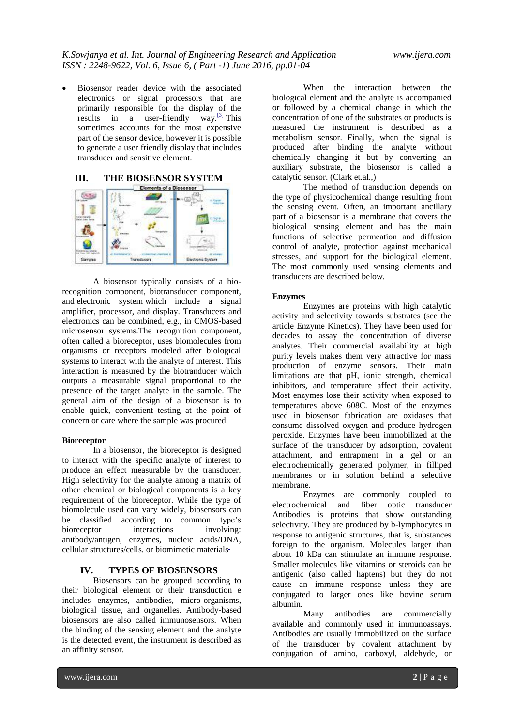Biosensor reader device with the associated electronics or signal processors that are primarily responsible for the display of the results in a user-friendly way.<sup>[3]</sup> This results in a user-friendly sometimes accounts for the most expensive part of the sensor device, however it is possible to generate a user friendly display that includes transducer and sensitive element.





A biosensor typically consists of a biorecognition component, biotransducer component, and [electronic](http://en.wikipedia.org/wiki/Electronic_system) system which include a signal amplifier, processor, and display. Transducers and electronics can be combined, e.g., in CMOS-based microsensor systems.The recognition component, often called a bioreceptor, uses biomolecules from organisms or receptors modeled after biological systems to interact with the analyte of interest. This interaction is measured by the biotranducer which outputs a measurable signal proportional to the presence of the target analyte in the sample. The general aim of the design of a biosensor is to enable quick, convenient testing at the point of concern or care where the sample was procured.

#### **Bioreceptor**

In a biosensor, the bioreceptor is designed to interact with the specific analyte of interest to produce an effect measurable by the transducer. High selectivity for the analyte among a matrix of other chemical or biological components is a key requirement of the bioreceptor. While the type of biomolecule used can vary widely, biosensors can be classified according to common type's bioreceptor interactions involving: anitbody/antigen, enzymes, nucleic acids/DNA, cellular structures/cells, or biomimetic materials.

# **IV. TYPES OF BIOSENSORS**

Biosensors can be grouped according to their biological element or their transduction e includes enzymes, antibodies, micro-organisms, biological tissue, and organelles. Antibody-based biosensors are also called immunosensors. When the binding of the sensing element and the analyte is the detected event, the instrument is described as an affinity sensor.

When the interaction between the biological element and the analyte is accompanied or followed by a chemical change in which the concentration of one of the substrates or products is measured the instrument is described as a metabolism sensor. Finally, when the signal is produced after binding the analyte without chemically changing it but by converting an auxiliary substrate, the biosensor is called a catalytic sensor. (Clark et.al.,)

The method of transduction depends on the type of physicochemical change resulting from the sensing event. Often, an important ancillary part of a biosensor is a membrane that covers the biological sensing element and has the main functions of selective permeation and diffusion control of analyte, protection against mechanical stresses, and support for the biological element. The most commonly used sensing elements and transducers are described below.

# **Enzymes**

Enzymes are proteins with high catalytic activity and selectivity towards substrates (see the article Enzyme Kinetics). They have been used for decades to assay the concentration of diverse analytes. Their commercial availability at high purity levels makes them very attractive for mass production of enzyme sensors. Their main limitations are that pH, ionic strength, chemical inhibitors, and temperature affect their activity. Most enzymes lose their activity when exposed to temperatures above 608C. Most of the enzymes used in biosensor fabrication are oxidases that consume dissolved oxygen and produce hydrogen peroxide. Enzymes have been immobilized at the surface of the transducer by adsorption, covalent attachment, and entrapment in a gel or an electrochemically generated polymer, in filliped membranes or in solution behind a selective membrane.

Enzymes are commonly coupled to electrochemical and fiber optic transducer Antibodies is proteins that show outstanding selectivity. They are produced by b-lymphocytes in response to antigenic structures, that is, substances foreign to the organism. Molecules larger than about 10 kDa can stimulate an immune response. Smaller molecules like vitamins or steroids can be antigenic (also called haptens) but they do not cause an immune response unless they are conjugated to larger ones like bovine serum albumin.

Many antibodies are commercially available and commonly used in immunoassays. Antibodies are usually immobilized on the surface of the transducer by covalent attachment by conjugation of amino, carboxyl, aldehyde, or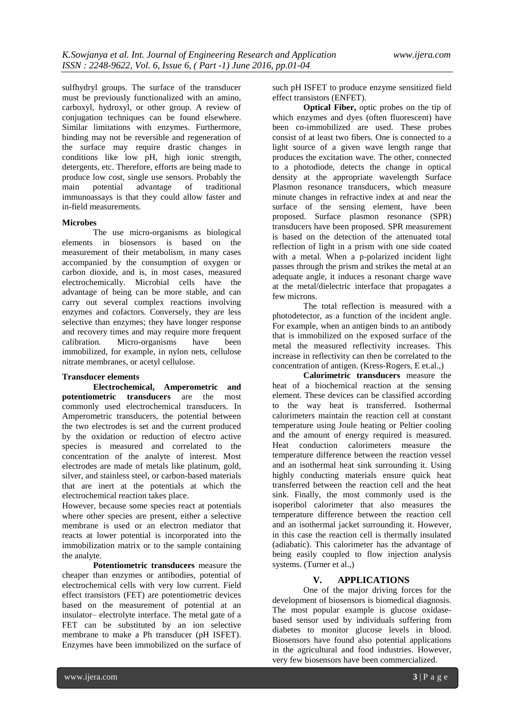sulfhydryl groups. The surface of the transducer must be previously functionalized with an amino, carboxyl, hydroxyl, or other group. A review of conjugation techniques can be found elsewhere. Similar limitations with enzymes. Furthermore, binding may not be reversible and regeneration of the surface may require drastic changes in conditions like low pH, high ionic strength, detergents, etc. Therefore, efforts are being made to produce low cost, single use sensors. Probably the main potential advantage of traditional immunoassays is that they could allow faster and in-field measurements.

## **Microbes**

The use micro-organisms as biological elements in biosensors is based on the measurement of their metabolism, in many cases accompanied by the consumption of oxygen or carbon dioxide, and is, in most cases, measured electrochemically. Microbial cells have the advantage of being can be more stable, and can carry out several complex reactions involving enzymes and cofactors. Conversely, they are less selective than enzymes; they have longer response and recovery times and may require more frequent calibration. Micro-organisms have been immobilized, for example, in nylon nets, cellulose nitrate membranes, or acetyl cellulose.

#### **Transducer elements**

**Electrochemical, Amperometric and potentiometric transducers** are the most commonly used electrochemical transducers. In Amperometric transducers, the potential between the two electrodes is set and the current produced by the oxidation or reduction of electro active species is measured and correlated to the concentration of the analyte of interest. Most electrodes are made of metals like platinum, gold, silver, and stainless steel, or carbon-based materials that are inert at the potentials at which the electrochemical reaction takes place.

However, because some species react at potentials where other species are present, either a selective membrane is used or an electron mediator that reacts at lower potential is incorporated into the immobilization matrix or to the sample containing the analyte.

**Potentiometric transducers** measure the cheaper than enzymes or antibodies, potential of electrochemical cells with very low current. Field effect transistors (FET) are potentiometric devices based on the measurement of potential at an insulator– electrolyte interface. The metal gate of a FET can be substituted by an ion selective membrane to make a Ph transducer (pH ISFET). Enzymes have been immobilized on the surface of

such pH ISFET to produce enzyme sensitized field effect transistors (ENFET).

**Optical Fiber,** optic probes on the tip of which enzymes and dyes (often fluorescent) have been co-immobilized are used. These probes consist of at least two fibers. One is connected to a light source of a given wave length range that produces the excitation wave. The other, connected to a photodiode, detects the change in optical density at the appropriate wavelength Surface Plasmon resonance transducers, which measure minute changes in refractive index at and near the surface of the sensing element, have been proposed. Surface plasmon resonance (SPR) transducers have been proposed. SPR measurement is based on the detection of the attenuated total reflection of light in a prism with one side coated with a metal. When a p-polarized incident light passes through the prism and strikes the metal at an adequate angle, it induces a resonant charge wave at the metal/dielectric interface that propagates a few microns.

The total reflection is measured with a photodetector, as a function of the incident angle. For example, when an antigen binds to an antibody that is immobilized on the exposed surface of the metal the measured reflectivity increases. This increase in reflectivity can then be correlated to the concentration of antigen. (Kress-Rogers, E et.al.,)

**Calorimetric transducers** measure the heat of a biochemical reaction at the sensing element. These devices can be classified according to the way heat is transferred. Isothermal calorimeters maintain the reaction cell at constant temperature using Joule heating or Peltier cooling and the amount of energy required is measured. Heat conduction calorimeters measure the temperature difference between the reaction vessel and an isothermal heat sink surrounding it. Using highly conducting materials ensure quick heat transferred between the reaction cell and the heat sink. Finally, the most commonly used is the isoperibol calorimeter that also measures the temperature difference between the reaction cell and an isothermal jacket surrounding it. However, in this case the reaction cell is thermally insulated (adiabatic). This calorimeter has the advantage of being easily coupled to flow injection analysis systems. (Turner et al.,)

## **V. APPLICATIONS**

One of the major driving forces for the development of biosensors is biomedical diagnosis. The most popular example is glucose oxidasebased sensor used by individuals suffering from diabetes to monitor glucose levels in blood. Biosensors have found also potential applications in the agricultural and food industries. However, very few biosensors have been commercialized.